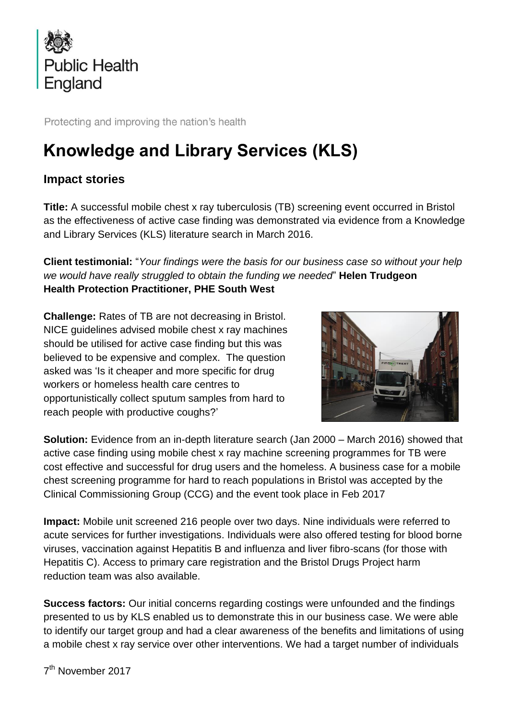

Protecting and improving the nation's health

## **Knowledge and Library Services (KLS)**

## **Impact stories**

**Title:** A successful mobile chest x ray tuberculosis (TB) screening event occurred in Bristol as the effectiveness of active case finding was demonstrated via evidence from a Knowledge and Library Services (KLS) literature search in March 2016.

**Client testimonial:** "*Your findings were the basis for our business case so without your help we would have really struggled to obtain the funding we needed*" **Helen Trudgeon Health Protection Practitioner, PHE South West**

**Challenge:** Rates of TB are not decreasing in Bristol. NICE guidelines advised mobile chest x ray machines should be utilised for active case finding but this was believed to be expensive and complex. The question asked was 'Is it cheaper and more specific for drug workers or homeless health care centres to opportunistically collect sputum samples from hard to reach people with productive coughs?'



**Solution:** Evidence from an in-depth literature search (Jan 2000 – March 2016) showed that active case finding using mobile chest x ray machine screening programmes for TB were cost effective and successful for drug users and the homeless. A business case for a mobile chest screening programme for hard to reach populations in Bristol was accepted by the Clinical Commissioning Group (CCG) and the event took place in Feb 2017

**Impact:** Mobile unit screened 216 people over two days. Nine individuals were referred to acute services for further investigations. Individuals were also offered testing for blood borne viruses, vaccination against Hepatitis B and influenza and liver fibro-scans (for those with Hepatitis C). Access to primary care registration and the Bristol Drugs Project harm reduction team was also available.

**Success factors:** Our initial concerns regarding costings were unfounded and the findings presented to us by KLS enabled us to demonstrate this in our business case. We were able to identify our target group and had a clear awareness of the benefits and limitations of using a mobile chest x ray service over other interventions. We had a target number of individuals